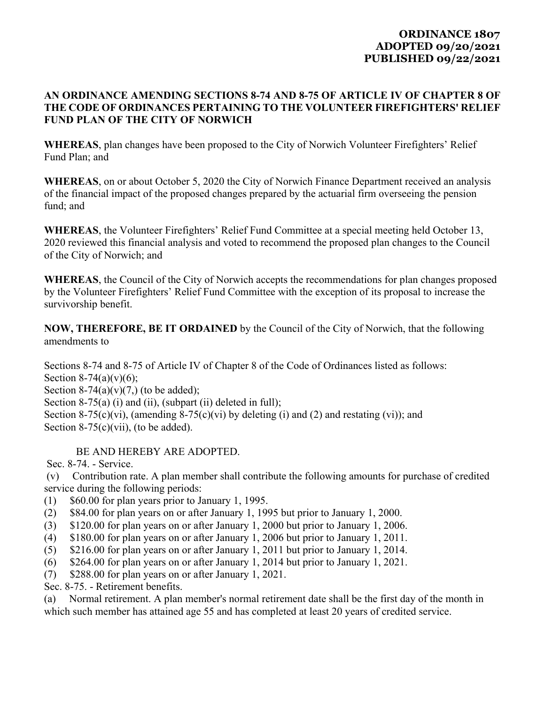## **ORDINANCE 1807 ADOPTED 09/20/2021 PUBLISHED 09/22/2021**

## **AN ORDINANCE AMENDING SECTIONS 8‐74 AND 8‐75 OF ARTICLE IV OF CHAPTER 8 OF THE CODE OF ORDINANCES PERTAINING TO THE VOLUNTEER FIREFIGHTERS' RELIEF FUND PLAN OF THE CITY OF NORWICH**

**WHEREAS**, plan changes have been proposed to the City of Norwich Volunteer Firefighters' Relief Fund Plan; and

**WHEREAS**, on or about October 5, 2020 the City of Norwich Finance Department received an analysis of the financial impact of the proposed changes prepared by the actuarial firm overseeing the pension fund; and

**WHEREAS**, the Volunteer Firefighters' Relief Fund Committee at a special meeting held October 13, 2020 reviewed this financial analysis and voted to recommend the proposed plan changes to the Council of the City of Norwich; and

**WHEREAS**, the Council of the City of Norwich accepts the recommendations for plan changes proposed by the Volunteer Firefighters' Relief Fund Committee with the exception of its proposal to increase the survivorship benefit.

**NOW, THEREFORE, BE IT ORDAINED** by the Council of the City of Norwich, that the following amendments to

Sections 8‐74 and 8‐75 of Article IV of Chapter 8 of the Code of Ordinances listed as follows: Section  $8-74(a)(v)(6)$ ; Section  $8-74(a)(v)(7)$ , (to be added); Section 8-75(a) (i) and (ii), (subpart (ii) deleted in full); Section 8-75(c)(vi), (amending 8-75(c)(vi) by deleting (i) and (2) and restating (vi)); and Section  $8-75(c)(vii)$ , (to be added).

## BE AND HEREBY ARE ADOPTED.

Sec. 8-74. - Service.

 (v) Contribution rate. A plan member shall contribute the following amounts for purchase of credited service during the following periods:

- (1) \$60.00 for plan years prior to January 1, 1995.
- (2) \$84.00 for plan years on or after January 1, 1995 but prior to January 1, 2000.
- (3) \$120.00 for plan years on or after January 1, 2000 but prior to January 1, 2006.
- (4) \$180.00 for plan years on or after January 1, 2006 but prior to January 1, 2011.
- (5) \$216.00 for plan years on or after January 1, 2011 but prior to January 1, 2014.
- (6) \$264.00 for plan years on or after January 1, 2014 but prior to January 1, 2021.
- (7) \$288.00 for plan years on or after January 1, 2021.
- Sec. 8-75. Retirement benefits.

(a) Normal retirement. A plan member's normal retirement date shall be the first day of the month in which such member has attained age 55 and has completed at least 20 years of credited service.